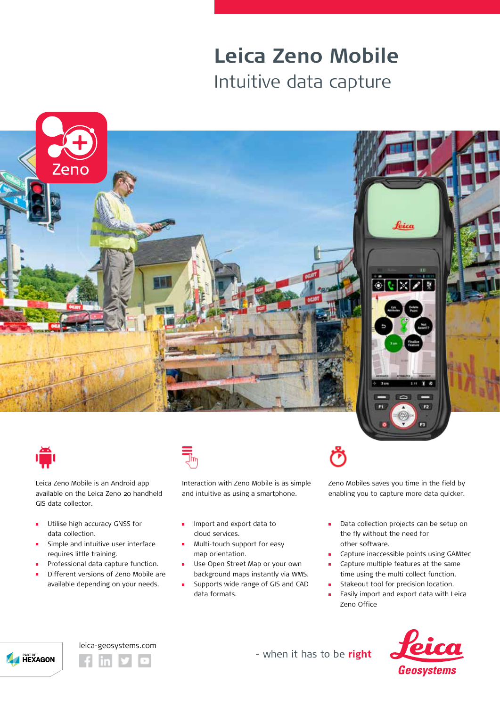## **Leica Zeno Mobile** Intuitive data capture





Leica Zeno Mobile is an Android app available on the Leica Zeno 20 handheld GIS data collector.

- Utilise high accuracy GNSS for  $\blacksquare$ data collection.
- Simple and intuitive user interface requires little training.
- Professional data capture function.
- Different versions of Zeno Mobile are available depending on your needs.



Interaction with Zeno Mobile is as simple and intuitive as using a smartphone.

- $\blacksquare$ Import and export data to cloud services.
- Multi-touch support for easy map orientation.
- Use Open Street Map or your own  $\blacksquare$ background maps instantly via WMS.
- Supports wide range of GIS and CAD  $\blacksquare$ data formats.

Zeno Mobiles saves you time in the field by enabling you to capture more data quicker.

- m. Data collection projects can be setup on the fly without the need for other software.
- Capture inaccessible points using GAMtec
- Capture multiple features at the same time using the multi collect function.
- Stakeout tool for precision location.
- Easily import and export data with Leica  $\blacksquare$ Zeno Office







- when it has to be right